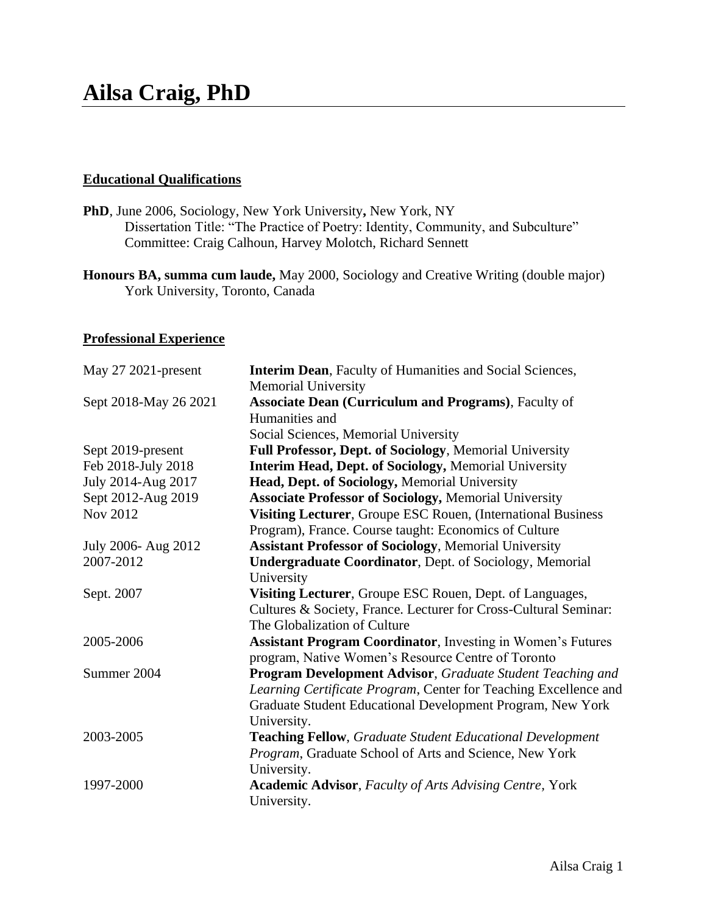# **Ailsa Craig, PhD**

## **Educational Qualifications**

- **PhD**, June 2006, Sociology, New York University**,** New York, NY Dissertation Title: "The Practice of Poetry: Identity, Community, and Subculture" Committee: Craig Calhoun, Harvey Molotch, Richard Sennett
- **Honours BA, summa cum laude,** May 2000, Sociology and Creative Writing (double major) York University, Toronto, Canada

## **Professional Experience**

| May 27 2021-present   | <b>Interim Dean, Faculty of Humanities and Social Sciences,</b><br><b>Memorial University</b> |
|-----------------------|-----------------------------------------------------------------------------------------------|
| Sept 2018-May 26 2021 | Associate Dean (Curriculum and Programs), Faculty of                                          |
|                       | Humanities and                                                                                |
|                       | Social Sciences, Memorial University                                                          |
| Sept 2019-present     | Full Professor, Dept. of Sociology, Memorial University                                       |
| Feb 2018-July 2018    | Interim Head, Dept. of Sociology, Memorial University                                         |
| July 2014-Aug 2017    | Head, Dept. of Sociology, Memorial University                                                 |
| Sept 2012-Aug 2019    | <b>Associate Professor of Sociology, Memorial University</b>                                  |
| Nov 2012              | Visiting Lecturer, Groupe ESC Rouen, (International Business                                  |
|                       | Program), France. Course taught: Economics of Culture                                         |
| July 2006- Aug 2012   | <b>Assistant Professor of Sociology, Memorial University</b>                                  |
| 2007-2012             | <b>Undergraduate Coordinator</b> , Dept. of Sociology, Memorial                               |
|                       | University                                                                                    |
| Sept. 2007            | Visiting Lecturer, Groupe ESC Rouen, Dept. of Languages,                                      |
|                       | Cultures & Society, France. Lecturer for Cross-Cultural Seminar:                              |
|                       | The Globalization of Culture                                                                  |
| 2005-2006             | <b>Assistant Program Coordinator</b> , Investing in Women's Futures                           |
|                       | program, Native Women's Resource Centre of Toronto                                            |
| Summer 2004           | Program Development Advisor, Graduate Student Teaching and                                    |
|                       | Learning Certificate Program, Center for Teaching Excellence and                              |
|                       | Graduate Student Educational Development Program, New York                                    |
|                       | University.                                                                                   |
| 2003-2005             | <b>Teaching Fellow, Graduate Student Educational Development</b>                              |
|                       | Program, Graduate School of Arts and Science, New York                                        |
|                       | University.                                                                                   |
| 1997-2000             | <b>Academic Advisor, Faculty of Arts Advising Centre, York</b>                                |
|                       | University.                                                                                   |
|                       |                                                                                               |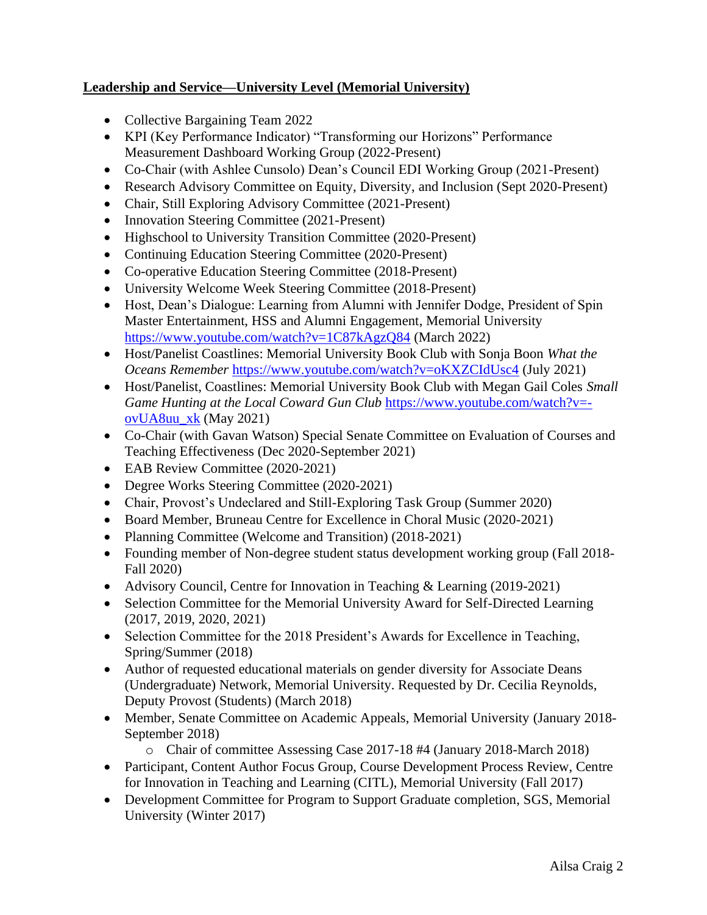## **Leadership and Service—University Level (Memorial University)**

- Collective Bargaining Team 2022
- KPI (Key Performance Indicator) "Transforming our Horizons" Performance Measurement Dashboard Working Group (2022-Present)
- Co-Chair (with Ashlee Cunsolo) Dean's Council EDI Working Group (2021-Present)
- Research Advisory Committee on Equity, Diversity, and Inclusion (Sept 2020-Present)
- Chair, Still Exploring Advisory Committee (2021-Present)
- Innovation Steering Committee (2021-Present)
- Highschool to University Transition Committee (2020-Present)
- Continuing Education Steering Committee (2020-Present)
- Co-operative Education Steering Committee (2018-Present)
- University Welcome Week Steering Committee (2018-Present)
- Host, Dean's Dialogue: Learning from Alumni with Jennifer Dodge, President of Spin Master Entertainment, HSS and Alumni Engagement, Memorial University <https://www.youtube.com/watch?v=1C87kAgzQ84> (March 2022)
- Host/Panelist Coastlines: Memorial University Book Club with Sonja Boon *What the Oceans Remember* <https://www.youtube.com/watch?v=oKXZCIdUsc4> (July 2021)
- Host/Panelist, Coastlines: Memorial University Book Club with Megan Gail Coles *Small Game Hunting at the Local Coward Gun Club* [https://www.youtube.com/watch?v=](https://www.youtube.com/watch?v=-ovUA8uu_xk) [ovUA8uu\\_xk](https://www.youtube.com/watch?v=-ovUA8uu_xk) (May 2021)
- Co-Chair (with Gavan Watson) Special Senate Committee on Evaluation of Courses and Teaching Effectiveness (Dec 2020-September 2021)
- EAB Review Committee (2020-2021)
- Degree Works Steering Committee (2020-2021)
- Chair, Provost's Undeclared and Still-Exploring Task Group (Summer 2020)
- Board Member, Bruneau Centre for Excellence in Choral Music (2020-2021)
- Planning Committee (Welcome and Transition) (2018-2021)
- Founding member of Non-degree student status development working group (Fall 2018-Fall 2020)
- Advisory Council, Centre for Innovation in Teaching & Learning (2019-2021)
- Selection Committee for the Memorial University Award for Self-Directed Learning (2017, 2019, 2020, 2021)
- Selection Committee for the 2018 President's Awards for Excellence in Teaching, Spring/Summer (2018)
- Author of requested educational materials on gender diversity for Associate Deans (Undergraduate) Network, Memorial University. Requested by Dr. Cecilia Reynolds, Deputy Provost (Students) (March 2018)
- Member, Senate Committee on Academic Appeals, Memorial University (January 2018- September 2018)
	- o Chair of committee Assessing Case 2017-18 #4 (January 2018-March 2018)
- Participant, Content Author Focus Group, Course Development Process Review, Centre for Innovation in Teaching and Learning (CITL), Memorial University (Fall 2017)
- Development Committee for Program to Support Graduate completion, SGS, Memorial University (Winter 2017)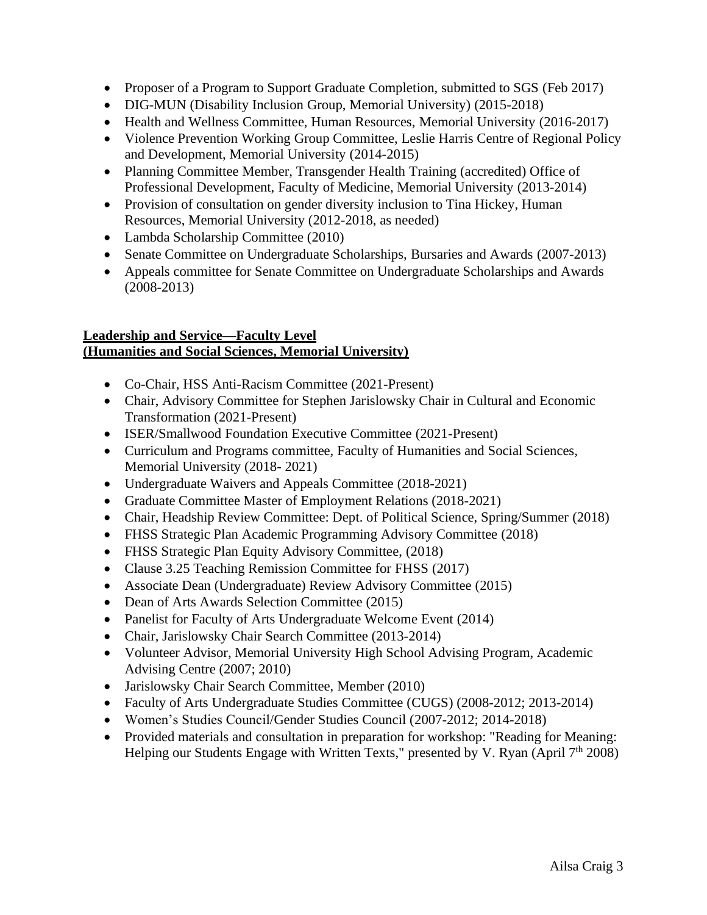- Proposer of a Program to Support Graduate Completion, submitted to SGS (Feb 2017)
- DIG-MUN (Disability Inclusion Group, Memorial University) (2015-2018)
- Health and Wellness Committee, Human Resources, Memorial University (2016-2017)
- Violence Prevention Working Group Committee, Leslie Harris Centre of Regional Policy and Development, Memorial University (2014-2015)
- Planning Committee Member, Transgender Health Training (accredited) Office of Professional Development, Faculty of Medicine, Memorial University (2013-2014)
- Provision of consultation on gender diversity inclusion to Tina Hickey, Human Resources, Memorial University (2012-2018, as needed)
- Lambda Scholarship Committee (2010)
- Senate Committee on Undergraduate Scholarships, Bursaries and Awards (2007-2013)
- Appeals committee for Senate Committee on Undergraduate Scholarships and Awards (2008-2013)

## **Leadership and Service—Faculty Level (Humanities and Social Sciences, Memorial University)**

- Co-Chair, HSS Anti-Racism Committee (2021-Present)
- Chair, Advisory Committee for Stephen Jarislowsky Chair in Cultural and Economic Transformation (2021-Present)
- ISER/Smallwood Foundation Executive Committee (2021-Present)
- Curriculum and Programs committee, Faculty of Humanities and Social Sciences, Memorial University (2018- 2021)
- Undergraduate Waivers and Appeals Committee (2018-2021)
- Graduate Committee Master of Employment Relations (2018-2021)
- Chair, Headship Review Committee: Dept. of Political Science, Spring/Summer (2018)
- FHSS Strategic Plan Academic Programming Advisory Committee (2018)
- FHSS Strategic Plan Equity Advisory Committee, (2018)
- Clause 3.25 Teaching Remission Committee for FHSS (2017)
- Associate Dean (Undergraduate) Review Advisory Committee (2015)
- Dean of Arts Awards Selection Committee (2015)
- Panelist for Faculty of Arts Undergraduate Welcome Event (2014)
- Chair, Jarislowsky Chair Search Committee (2013-2014)
- Volunteer Advisor, Memorial University High School Advising Program, Academic Advising Centre (2007; 2010)
- Jarislowsky Chair Search Committee, Member (2010)
- Faculty of Arts Undergraduate Studies Committee (CUGS) (2008-2012; 2013-2014)
- Women's Studies Council/Gender Studies Council (2007-2012; 2014-2018)
- Provided materials and consultation in preparation for workshop: "Reading for Meaning: Helping our Students Engage with Written Texts," presented by V. Ryan (April 7<sup>th</sup> 2008)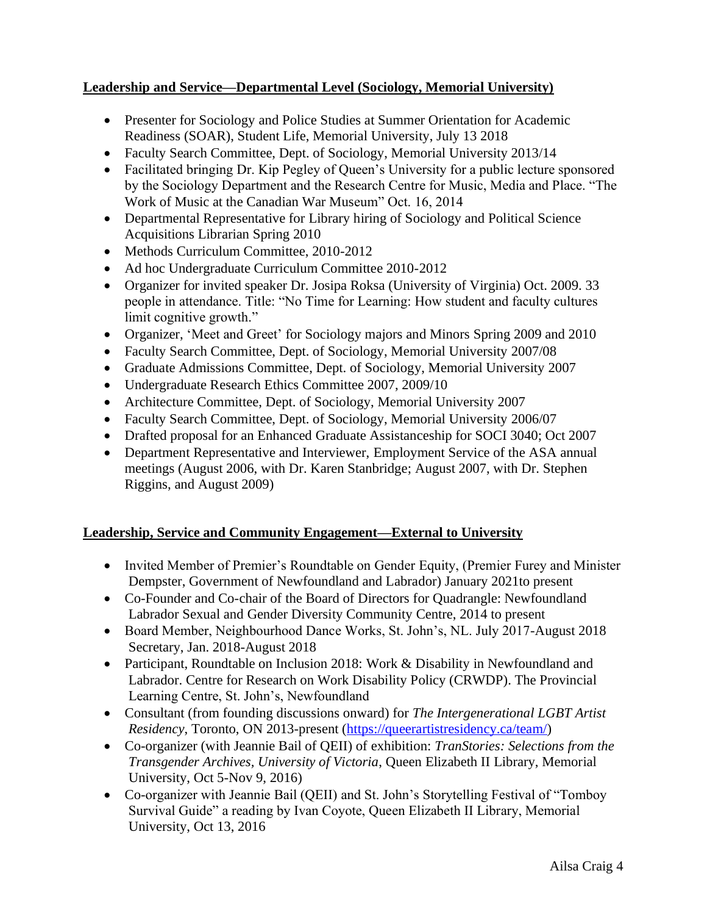## **Leadership and Service—Departmental Level (Sociology, Memorial University)**

- Presenter for Sociology and Police Studies at Summer Orientation for Academic Readiness (SOAR), Student Life, Memorial University, July 13 2018
- Faculty Search Committee, Dept. of Sociology, Memorial University 2013/14
- Facilitated bringing Dr. Kip Pegley of Queen's University for a public lecture sponsored by the Sociology Department and the Research Centre for Music, Media and Place. "The Work of Music at the Canadian War Museum" Oct. 16, 2014
- Departmental Representative for Library hiring of Sociology and Political Science Acquisitions Librarian Spring 2010
- Methods Curriculum Committee, 2010-2012
- Ad hoc Undergraduate Curriculum Committee 2010-2012
- Organizer for invited speaker Dr. Josipa Roksa (University of Virginia) Oct. 2009. 33 people in attendance. Title: "No Time for Learning: How student and faculty cultures limit cognitive growth."
- Organizer, 'Meet and Greet' for Sociology majors and Minors Spring 2009 and 2010
- Faculty Search Committee, Dept. of Sociology, Memorial University 2007/08
- Graduate Admissions Committee, Dept. of Sociology, Memorial University 2007
- Undergraduate Research Ethics Committee 2007, 2009/10
- Architecture Committee, Dept. of Sociology, Memorial University 2007
- Faculty Search Committee, Dept. of Sociology, Memorial University 2006/07
- Drafted proposal for an Enhanced Graduate Assistanceship for SOCI 3040; Oct 2007
- Department Representative and Interviewer, Employment Service of the ASA annual meetings (August 2006, with Dr. Karen Stanbridge; August 2007, with Dr. Stephen Riggins, and August 2009)

#### **Leadership, Service and Community Engagement—External to University**

- Invited Member of Premier's Roundtable on Gender Equity, (Premier Furey and Minister Dempster, Government of Newfoundland and Labrador) January 2021to present
- Co-Founder and Co-chair of the Board of Directors for Quadrangle: Newfoundland Labrador Sexual and Gender Diversity Community Centre, 2014 to present
- Board Member, Neighbourhood Dance Works, St. John's, NL. July 2017-August 2018 Secretary, Jan. 2018-August 2018
- Participant, Roundtable on Inclusion 2018: Work & Disability in Newfoundland and Labrador. Centre for Research on Work Disability Policy (CRWDP). The Provincial Learning Centre, St. John's, Newfoundland
- Consultant (from founding discussions onward) for *The Intergenerational LGBT Artist Residency*, Toronto, ON 2013-present [\(https://queerartistresidency.ca/team/\)](https://queerartistresidency.ca/team/)
- Co-organizer (with Jeannie Bail of QEII) of exhibition: *TranStories: Selections from the Transgender Archives, University of Victoria*, Queen Elizabeth II Library, Memorial University, Oct 5-Nov 9, 2016)
- Co-organizer with Jeannie Bail (QEII) and St. John's Storytelling Festival of "Tomboy Survival Guide" a reading by Ivan Coyote, Queen Elizabeth II Library, Memorial University, Oct 13, 2016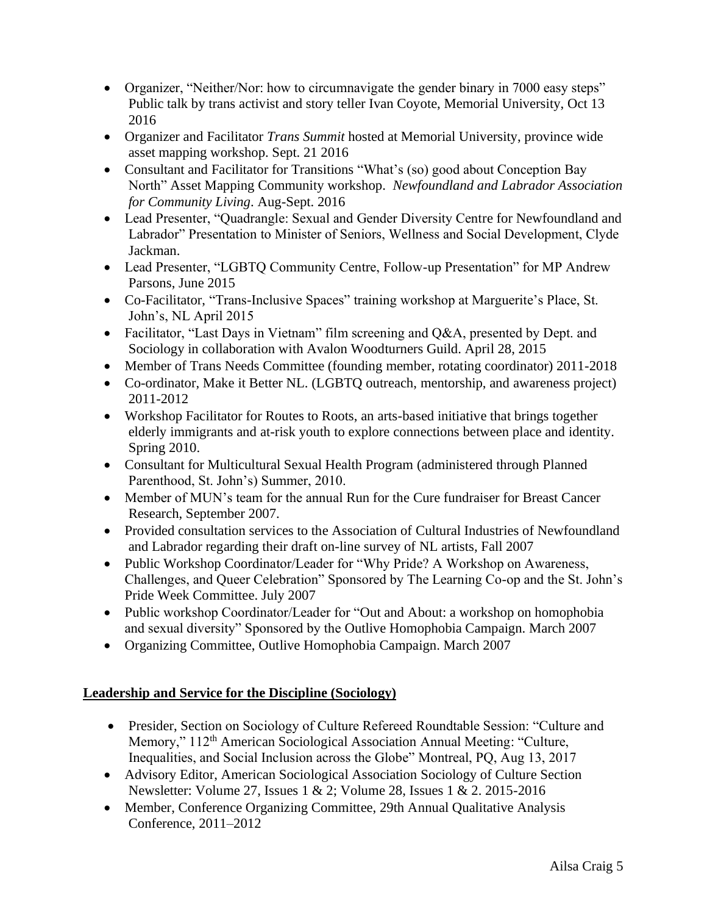- Organizer, "Neither/Nor: how to circumnavigate the gender binary in 7000 easy steps" Public talk by trans activist and story teller Ivan Coyote, Memorial University, Oct 13 2016
- Organizer and Facilitator *Trans Summit* hosted at Memorial University, province wide asset mapping workshop. Sept. 21 2016
- Consultant and Facilitator for Transitions "What's (so) good about Conception Bay North" Asset Mapping Community workshop. *Newfoundland and Labrador Association for Community Living*. Aug-Sept. 2016
- Lead Presenter, "Quadrangle: Sexual and Gender Diversity Centre for Newfoundland and Labrador" Presentation to Minister of Seniors, Wellness and Social Development, Clyde Jackman.
- Lead Presenter, "LGBTQ Community Centre, Follow-up Presentation" for MP Andrew Parsons, June 2015
- Co-Facilitator, "Trans-Inclusive Spaces" training workshop at Marguerite's Place, St. John's, NL April 2015
- Facilitator, "Last Days in Vietnam" film screening and Q&A, presented by Dept. and Sociology in collaboration with Avalon Woodturners Guild. April 28, 2015
- Member of Trans Needs Committee (founding member, rotating coordinator) 2011-2018
- Co-ordinator, Make it Better NL. (LGBTO outreach, mentorship, and awareness project) 2011-2012
- Workshop Facilitator for Routes to Roots, an arts-based initiative that brings together elderly immigrants and at-risk youth to explore connections between place and identity. Spring 2010.
- Consultant for Multicultural Sexual Health Program (administered through Planned Parenthood, St. John's) Summer, 2010.
- Member of MUN's team for the annual Run for the Cure fundraiser for Breast Cancer Research, September 2007.
- Provided consultation services to the Association of Cultural Industries of Newfoundland and Labrador regarding their draft on-line survey of NL artists, Fall 2007
- Public Workshop Coordinator/Leader for "Why Pride? A Workshop on Awareness, Challenges, and Queer Celebration" Sponsored by The Learning Co-op and the St. John's Pride Week Committee. July 2007
- Public workshop Coordinator/Leader for "Out and About: a workshop on homophobia and sexual diversity" Sponsored by the Outlive Homophobia Campaign. March 2007
- Organizing Committee, Outlive Homophobia Campaign. March 2007

# **Leadership and Service for the Discipline (Sociology)**

- Presider, Section on Sociology of Culture Refereed Roundtable Session: "Culture and Memory," 112<sup>th</sup> American Sociological Association Annual Meeting: "Culture, Inequalities, and Social Inclusion across the Globe" Montreal, PQ, Aug 13, 2017
- Advisory Editor, American Sociological Association Sociology of Culture Section Newsletter: Volume 27, Issues 1 & 2; Volume 28, Issues 1 & 2. 2015-2016
- Member, Conference Organizing Committee, 29th Annual Qualitative Analysis Conference, 2011–2012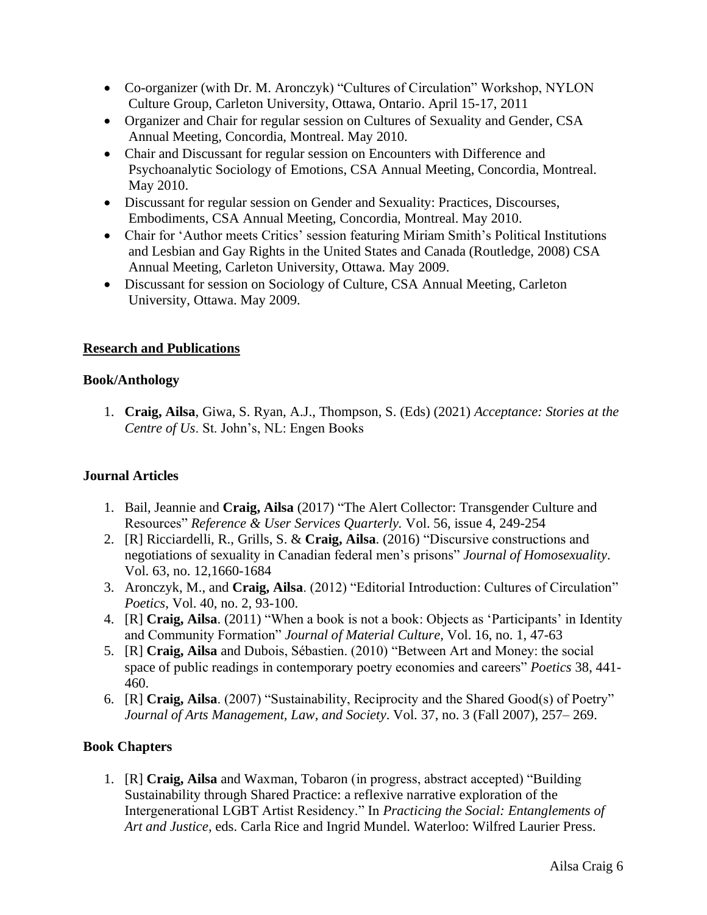- Co-organizer (with Dr. M. Aronczyk) "Cultures of Circulation" Workshop, NYLON Culture Group, Carleton University, Ottawa, Ontario. April 15-17, 2011
- Organizer and Chair for regular session on Cultures of Sexuality and Gender, CSA Annual Meeting, Concordia, Montreal. May 2010.
- Chair and Discussant for regular session on Encounters with Difference and Psychoanalytic Sociology of Emotions, CSA Annual Meeting, Concordia, Montreal. May 2010.
- Discussant for regular session on Gender and Sexuality: Practices, Discourses, Embodiments, CSA Annual Meeting, Concordia, Montreal. May 2010.
- Chair for 'Author meets Critics' session featuring Miriam Smith's Political Institutions and Lesbian and Gay Rights in the United States and Canada (Routledge, 2008) CSA Annual Meeting, Carleton University, Ottawa. May 2009.
- Discussant for session on Sociology of Culture, CSA Annual Meeting, Carleton University, Ottawa. May 2009.

## **Research and Publications**

#### **Book/Anthology**

1. **Craig, Ailsa**, Giwa, S. Ryan, A.J., Thompson, S. (Eds) (2021) *Acceptance: Stories at the Centre of Us*. St. John's, NL: Engen Books

## **Journal Articles**

- 1. Bail, Jeannie and **Craig, Ailsa** (2017) "The Alert Collector: Transgender Culture and Resources" *Reference & User Services Quarterly.* Vol. 56, issue 4, 249-254
- 2. [R] Ricciardelli, R., Grills, S. & **Craig, Ailsa**. (2016) "Discursive constructions and negotiations of sexuality in Canadian federal men's prisons" *Journal of Homosexuality*. Vol. 63, no. 12,1660-1684
- 3. Aronczyk, M., and **Craig, Ailsa**. (2012) "Editorial Introduction: Cultures of Circulation" *Poetics*, Vol. 40, no. 2, 93-100.
- 4. [R] **Craig, Ailsa**. (2011) "When a book is not a book: Objects as 'Participants' in Identity and Community Formation" *Journal of Material Culture,* Vol. 16, no. 1, 47-63
- 5. [R] **Craig, Ailsa** and Dubois, Sébastien. (2010) "Between Art and Money: the social space of public readings in contemporary poetry economies and careers" *Poetics* 38, 441- 460.
- 6. [R] **Craig, Ailsa**. (2007) "Sustainability, Reciprocity and the Shared Good(s) of Poetry" *Journal of Arts Management, Law, and Society*. Vol. 37, no. 3 (Fall 2007), 257– 269.

## **Book Chapters**

1. [R] **Craig, Ailsa** and Waxman, Tobaron (in progress, abstract accepted) "Building Sustainability through Shared Practice: a reflexive narrative exploration of the Intergenerational LGBT Artist Residency." In *Practicing the Social: Entanglements of Art and Justice*, eds. Carla Rice and Ingrid Mundel. Waterloo: Wilfred Laurier Press.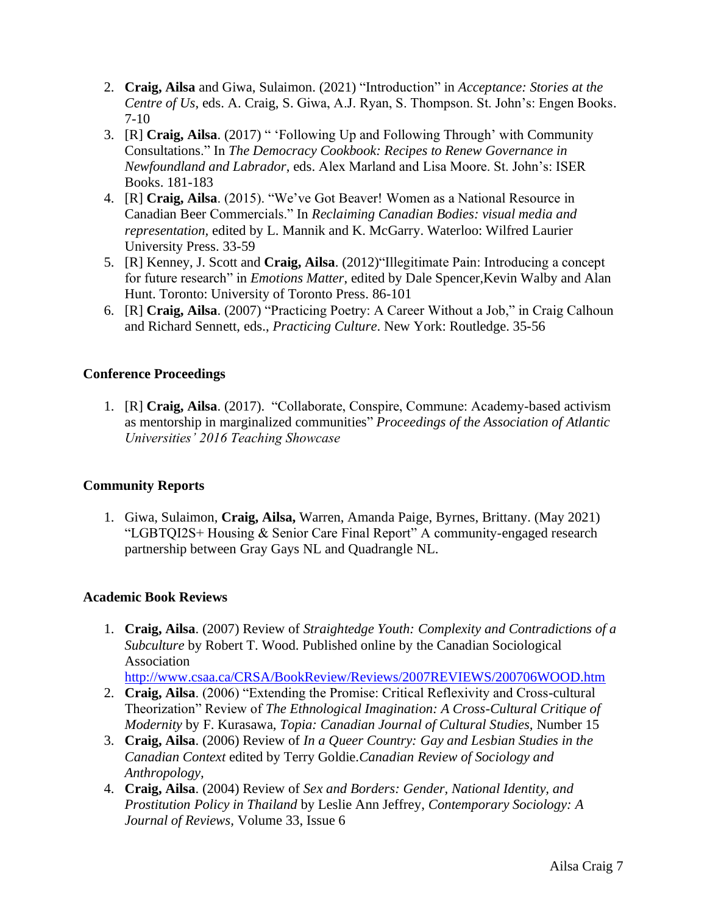- 2. **Craig, Ailsa** and Giwa, Sulaimon. (2021) "Introduction" in *Acceptance: Stories at the Centre of Us*, eds. A. Craig, S. Giwa, A.J. Ryan, S. Thompson. St. John's: Engen Books. 7-10
- 3. [R] **Craig, Ailsa**. (2017) " 'Following Up and Following Through' with Community Consultations." In *The Democracy Cookbook: Recipes to Renew Governance in Newfoundland and Labrador*, eds. Alex Marland and Lisa Moore. St. John's: ISER Books. 181-183
- 4. [R] **Craig, Ailsa**. (2015). "We've Got Beaver! Women as a National Resource in Canadian Beer Commercials." In *Reclaiming Canadian Bodies: visual media and representation,* edited by L. Mannik and K. McGarry. Waterloo: Wilfred Laurier University Press. 33-59
- 5. [R] Kenney, J. Scott and **Craig, Ailsa**. (2012)"Illegitimate Pain: Introducing a concept for future research" in *Emotions Matter*, edited by Dale Spencer,Kevin Walby and Alan Hunt. Toronto: University of Toronto Press. 86-101
- 6. [R] **Craig, Ailsa**. (2007) "Practicing Poetry: A Career Without a Job," in Craig Calhoun and Richard Sennett, eds., *Practicing Culture*. New York: Routledge. 35-56

#### **Conference Proceedings**

1. [R] **Craig, Ailsa**. (2017). "Collaborate, Conspire, Commune: Academy-based activism as mentorship in marginalized communities" *Proceedings of the Association of Atlantic Universities' 2016 Teaching Showcase*

#### **Community Reports**

1. Giwa, Sulaimon, **Craig, Ailsa,** Warren, Amanda Paige, Byrnes, Brittany. (May 2021) "LGBTQI2S+ Housing & Senior Care Final Report" A community-engaged research partnership between Gray Gays NL and Quadrangle NL.

#### **Academic Book Reviews**

1. **Craig, Ailsa**. (2007) Review of *Straightedge Youth: Complexity and Contradictions of a Subculture* by Robert T. Wood. Published online by the Canadian Sociological Association

<http://www.csaa.ca/CRSA/BookReview/Reviews/2007REVIEWS/200706WOOD.htm>

- 2. **Craig, Ailsa**. (2006) "Extending the Promise: Critical Reflexivity and Cross-cultural Theorization" Review of *The Ethnological Imagination: A Cross-Cultural Critique of Modernity* by F. Kurasawa, *Topia: Canadian Journal of Cultural Studies,* Number 15
- 3. **Craig, Ailsa**. (2006) Review of *In a Queer Country: Gay and Lesbian Studies in the Canadian Context* edited by Terry Goldie.*Canadian Review of Sociology and Anthropology,*
- 4. **Craig, Ailsa**. (2004) Review of *Sex and Borders: Gender, National Identity, and Prostitution Policy in Thailand* by Leslie Ann Jeffrey, *Contemporary Sociology: A Journal of Reviews,* Volume 33, Issue 6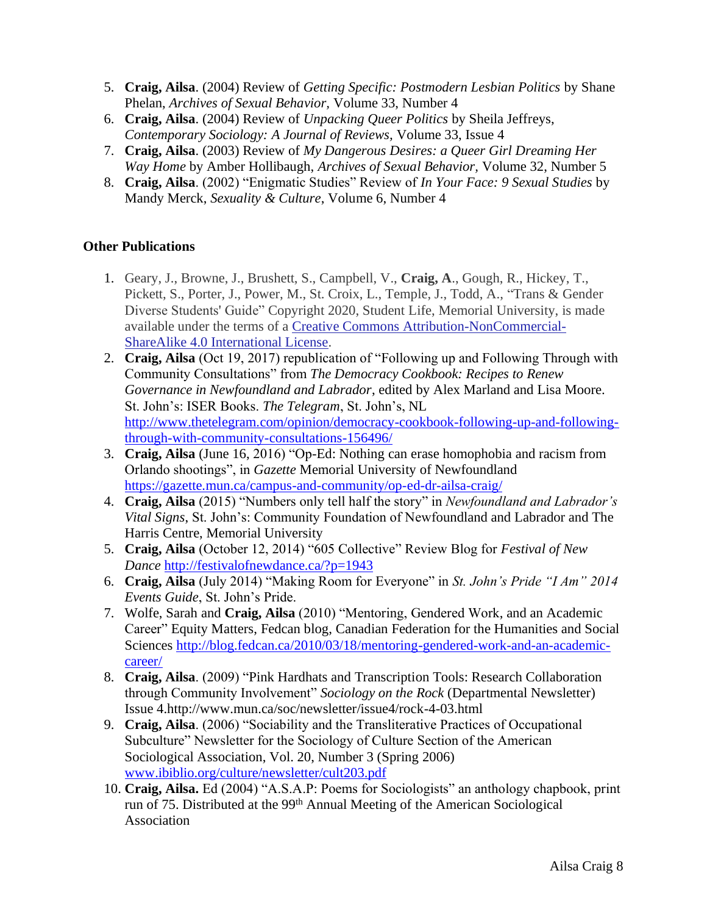- 5. **Craig, Ailsa**. (2004) Review of *Getting Specific: Postmodern Lesbian Politics* by Shane Phelan, *Archives of Sexual Behavior,* Volume 33, Number 4
- 6. **Craig, Ailsa**. (2004) Review of *Unpacking Queer Politics* by Sheila Jeffreys, *Contemporary Sociology: A Journal of Reviews,* Volume 33, Issue 4
- 7. **Craig, Ailsa**. (2003) Review of *My Dangerous Desires: a Queer Girl Dreaming Her Way Home* by Amber Hollibaugh, *Archives of Sexual Behavior,* Volume 32, Number 5
- 8. **Craig, Ailsa**. (2002) "Enigmatic Studies" Review of *In Your Face: 9 Sexual Studies* by Mandy Merck, *Sexuality & Culture*, Volume 6, Number 4

## **Other Publications**

- 1. Geary, J., Browne, J., Brushett, S., Campbell, V., **Craig, A**., Gough, R., Hickey, T., Pickett, S., Porter, J., Power, M., St. Croix, L., Temple, J., Todd, A., "Trans & Gender Diverse Students' Guide" Copyright 2020, Student Life, Memorial University, is made available under the terms of a [Creative Commons Attribution-NonCommercial-](https://creativecommons.org/licenses/by-nc-sa/4.0)ShareAlike [4.0 International License.](https://creativecommons.org/licenses/by-nc-sa/4.0)
- 2. **Craig, Ailsa** (Oct 19, 2017) republication of "Following up and Following Through with Community Consultations" from *The Democracy Cookbook: Recipes to Renew Governance in Newfoundland and Labrador*, edited by Alex Marland and Lisa Moore. St. John's: ISER Books. *The Telegram*, St. John's, NL [http://www.thetelegram.com/opinion/democracy-cookbook-following-up-and-following](http://www.thetelegram.com/opinion/democracy-cookbook-following-up-and-following-through-with-community-consultations-156496/)[through-with-community-consultations-156496/](http://www.thetelegram.com/opinion/democracy-cookbook-following-up-and-following-through-with-community-consultations-156496/)
- 3. **Craig, Ailsa** (June 16, 2016) "Op-Ed: Nothing can erase homophobia and racism from Orlando shootings", in *Gazette* Memorial University of Newfoundland <https://gazette.mun.ca/campus-and-community/op-ed-dr-ailsa-craig/>
- 4. **Craig, Ailsa** (2015) "Numbers only tell half the story" in *Newfoundland and Labrador's Vital Signs*, St. John's: Community Foundation of Newfoundland and Labrador and The Harris Centre, Memorial University
- 5. **Craig, Ailsa** (October 12, 2014) "605 Collective" Review Blog for *Festival of New Dance* <http://festivalofnewdance.ca/?p=1943>
- 6. **Craig, Ailsa** (July 2014) "Making Room for Everyone" in *St. John's Pride "I Am" 2014 Events Guide*, St. John's Pride.
- 7. Wolfe, Sarah and **Craig, Ailsa** (2010) "Mentoring, Gendered Work, and an Academic Career" Equity Matters, Fedcan blog, Canadian Federation for the Humanities and Social Sciences [http://blog.fedcan.ca/2010/03/18/mentoring-gendered-work-and-an-academic](http://blog.fedcan.ca/2010/03/18/mentoring-gendered-work-and-an-academic-career/)[career/](http://blog.fedcan.ca/2010/03/18/mentoring-gendered-work-and-an-academic-career/)
- 8. **Craig, Ailsa**. (2009) "Pink Hardhats and Transcription Tools: Research Collaboration through Community Involvement" *Sociology on the Rock* (Departmental Newsletter) Issue 4.http://www.mun.ca/soc/newsletter/issue4/rock-4-03.html
- 9. **Craig, Ailsa**. (2006) "Sociability and the Transliterative Practices of Occupational Subculture" Newsletter for the Sociology of Culture Section of the American Sociological Association, Vol. 20, Number 3 (Spring 2006) [www.ibiblio.org/culture/newsletter/cult203.pdf](http://www.ibiblio.org/culture/newsletter/cult203.pdf)
- 10. **Craig, Ailsa.** Ed (2004) "A.S.A.P: Poems for Sociologists" an anthology chapbook, print run of 75. Distributed at the 99th Annual Meeting of the American Sociological Association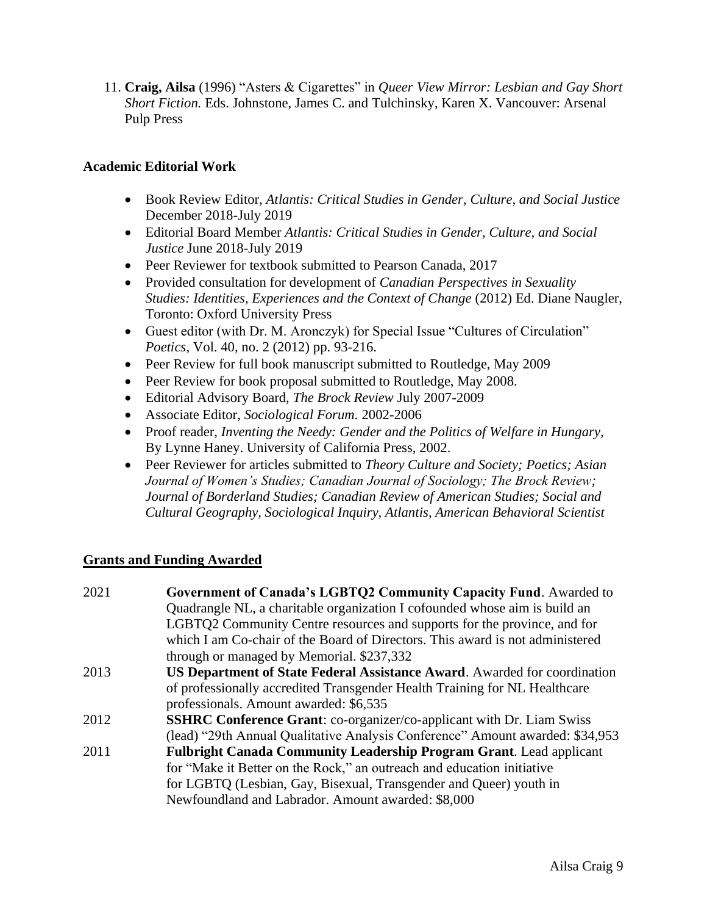11. **Craig, Ailsa** (1996) "Asters & Cigarettes" in *Queer View Mirror: Lesbian and Gay Short Short Fiction.* Eds. Johnstone, James C. and Tulchinsky, Karen X. Vancouver: Arsenal Pulp Press

#### **Academic Editorial Work**

- Book Review Editor, *Atlantis: Critical Studies in Gender, Culture, and Social Justice* December 2018-July 2019
- Editorial Board Member *Atlantis: Critical Studies in Gender, Culture, and Social Justice* June 2018-July 2019
- Peer Reviewer for textbook submitted to Pearson Canada, 2017
- Provided consultation for development of *Canadian Perspectives in Sexuality Studies: Identities, Experiences and the Context of Change* (2012) Ed. Diane Naugler, Toronto: Oxford University Press
- Guest editor (with Dr. M. Aronczyk) for Special Issue "Cultures of Circulation" *Poetics*, Vol. 40, no. 2 (2012) pp. 93-216.
- Peer Review for full book manuscript submitted to Routledge, May 2009
- Peer Review for book proposal submitted to Routledge, May 2008.
- Editorial Advisory Board, *The Brock Review* July 2007-2009
- Associate Editor, *Sociological Forum.* 2002-2006
- Proof reader, *Inventing the Needy: Gender and the Politics of Welfare in Hungary,* By Lynne Haney. University of California Press, 2002.
- Peer Reviewer for articles submitted to *Theory Culture and Society; Poetics; Asian Journal of Women's Studies; Canadian Journal of Sociology; The Brock Review; Journal of Borderland Studies; Canadian Review of American Studies; Social and Cultural Geography, Sociological Inquiry, Atlantis, American Behavioral Scientist*

#### **Grants and Funding Awarded**

| 2021 | Government of Canada's LGBTQ2 Community Capacity Fund. Awarded to                |
|------|----------------------------------------------------------------------------------|
|      | Quadrangle NL, a charitable organization I cofounded whose aim is build an       |
|      | LGBTQ2 Community Centre resources and supports for the province, and for         |
|      | which I am Co-chair of the Board of Directors. This award is not administered    |
|      | through or managed by Memorial. \$237,332                                        |
| 2013 | <b>US Department of State Federal Assistance Award.</b> Awarded for coordination |
|      | of professionally accredited Transgender Health Training for NL Healthcare       |
|      | professionals. Amount awarded: \$6,535                                           |
| 2012 | <b>SSHRC Conference Grant:</b> co-organizer/co-applicant with Dr. Liam Swiss     |
|      | (lead) "29th Annual Qualitative Analysis Conference" Amount awarded: \$34,953    |
| 2011 | <b>Fulbright Canada Community Leadership Program Grant.</b> Lead applicant       |
|      | for "Make it Better on the Rock," an outreach and education initiative           |
|      | for LGBTQ (Lesbian, Gay, Bisexual, Transgender and Queer) youth in               |
|      | Newfoundland and Labrador. Amount awarded: \$8,000                               |
|      |                                                                                  |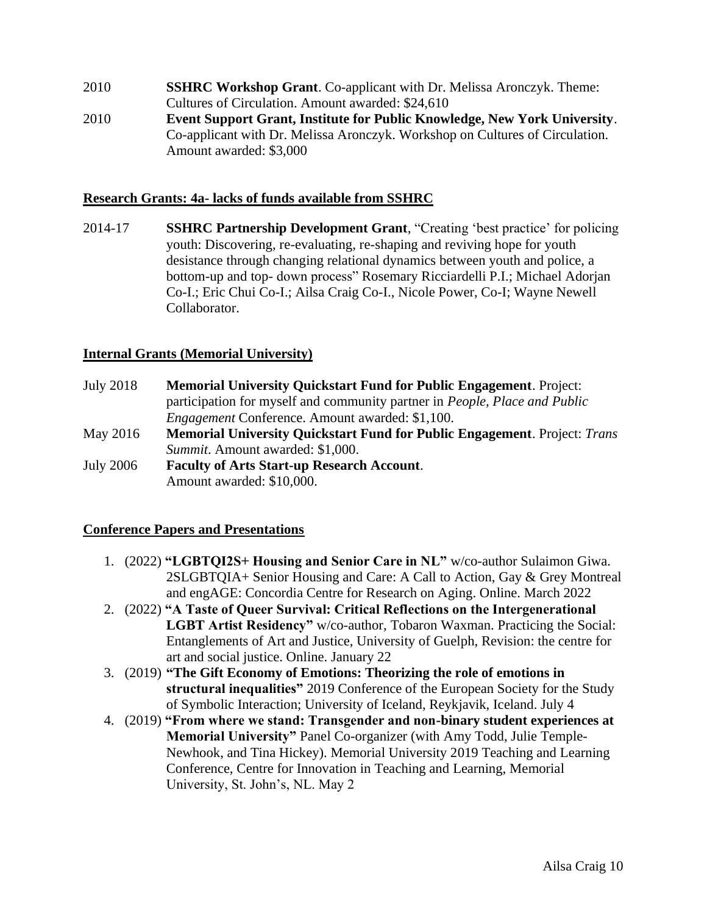2010 **SSHRC Workshop Grant**. Co-applicant with Dr. Melissa Aronczyk. Theme: Cultures of Circulation. Amount awarded: \$24,610 2010 **Event Support Grant, Institute for Public Knowledge, New York University**. Co-applicant with Dr. Melissa Aronczyk. Workshop on Cultures of Circulation. Amount awarded: \$3,000

#### **Research Grants: 4a- lacks of funds available from SSHRC**

2014-17 **SSHRC Partnership Development Grant**, "Creating 'best practice' for policing youth: Discovering, re-evaluating, re-shaping and reviving hope for youth desistance through changing relational dynamics between youth and police, a bottom-up and top- down process" Rosemary Ricciardelli P.I.; Michael Adorjan Co-I.; Eric Chui Co-I.; Ailsa Craig Co-I., Nicole Power, Co-I; Wayne Newell Collaborator.

#### **Internal Grants (Memorial University)**

- July 2018 **Memorial University Quickstart Fund for Public Engagement**. Project: participation for myself and community partner in *People, Place and Public Engagement* Conference. Amount awarded: \$1,100.
- May 2016 **Memorial University Quickstart Fund for Public Engagement**. Project: *Trans Summit*. Amount awarded: \$1,000.
- July 2006 **Faculty of Arts Start-up Research Account**. Amount awarded: \$10,000.

#### **Conference Papers and Presentations**

- 1. (2022) **"LGBTQI2S+ Housing and Senior Care in NL"** w/co-author Sulaimon Giwa. 2SLGBTQIA+ Senior Housing and Care: A Call to Action, Gay & Grey Montreal and engAGE: Concordia Centre for Research on Aging. Online. March 2022
- 2. (2022) **"A Taste of Queer Survival: Critical Reflections on the Intergenerational LGBT Artist Residency"** w/co-author, Tobaron Waxman. Practicing the Social: Entanglements of Art and Justice, University of Guelph, Revision: the centre for art and social justice. Online. January 22
- 3. (2019) **"The Gift Economy of Emotions: Theorizing the role of emotions in structural inequalities"** 2019 Conference of the European Society for the Study of Symbolic Interaction; University of Iceland, Reykjavik, Iceland. July 4
- 4. (2019) **"From where we stand: Transgender and non-binary student experiences at Memorial University"** Panel Co-organizer (with Amy Todd, Julie Temple-Newhook, and Tina Hickey). Memorial University 2019 Teaching and Learning Conference, Centre for Innovation in Teaching and Learning, Memorial University, St. John's, NL. May 2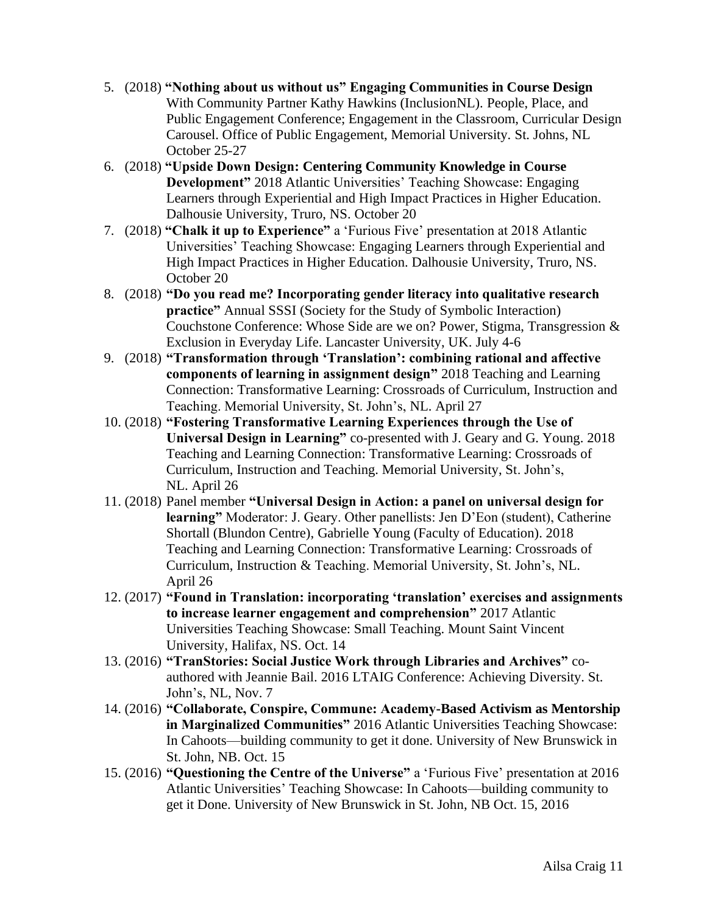- 5. (2018) **"Nothing about us without us" Engaging Communities in Course Design**  With Community Partner Kathy Hawkins (InclusionNL). People, Place, and Public Engagement Conference; Engagement in the Classroom, Curricular Design Carousel. Office of Public Engagement, Memorial University. St. Johns, NL October 25-27
- 6. (2018) **"Upside Down Design: Centering Community Knowledge in Course Development"** 2018 Atlantic Universities' Teaching Showcase: Engaging Learners through Experiential and High Impact Practices in Higher Education. Dalhousie University, Truro, NS. October 20
- 7. (2018) **"Chalk it up to Experience"** a 'Furious Five' presentation at 2018 Atlantic Universities' Teaching Showcase: Engaging Learners through Experiential and High Impact Practices in Higher Education. Dalhousie University, Truro, NS. October 20
- 8. (2018) **"Do you read me? Incorporating gender literacy into qualitative research practice"** Annual SSSI (Society for the Study of Symbolic Interaction) Couchstone Conference: Whose Side are we on? Power, Stigma, Transgression & Exclusion in Everyday Life. Lancaster University, UK. July 4-6
- 9. (2018) **"Transformation through 'Translation': combining rational and affective components of learning in assignment design"** 2018 Teaching and Learning Connection: Transformative Learning: Crossroads of Curriculum, Instruction and Teaching. Memorial University, St. John's, NL. April 27
- 10. (2018) **"Fostering Transformative Learning Experiences through the Use of Universal Design in Learning"** co-presented with J. Geary and G. Young. 2018 Teaching and Learning Connection: Transformative Learning: Crossroads of Curriculum, Instruction and Teaching. Memorial University, St. John's, NL. April 26
- 11. (2018) Panel member **"Universal Design in Action: a panel on universal design for learning"** Moderator: J. Geary. Other panellists: Jen D'Eon (student), Catherine Shortall (Blundon Centre), Gabrielle Young (Faculty of Education). 2018 Teaching and Learning Connection: Transformative Learning: Crossroads of Curriculum, Instruction & Teaching. Memorial University, St. John's, NL. April 26
- 12. (2017) **"Found in Translation: incorporating 'translation' exercises and assignments to increase learner engagement and comprehension"** 2017 Atlantic Universities Teaching Showcase: Small Teaching. Mount Saint Vincent University, Halifax, NS. Oct. 14
- 13. (2016) **"TranStories: Social Justice Work through Libraries and Archives"** coauthored with Jeannie Bail. 2016 LTAIG Conference: Achieving Diversity. St. John's, NL, Nov. 7
- 14. (2016) **"Collaborate, Conspire, Commune: Academy-Based Activism as Mentorship in Marginalized Communities"** 2016 Atlantic Universities Teaching Showcase: In Cahoots—building community to get it done. University of New Brunswick in St. John, NB. Oct. 15
- 15. (2016) **"Questioning the Centre of the Universe"** a 'Furious Five' presentation at 2016 Atlantic Universities' Teaching Showcase: In Cahoots—building community to get it Done. University of New Brunswick in St. John, NB Oct. 15, 2016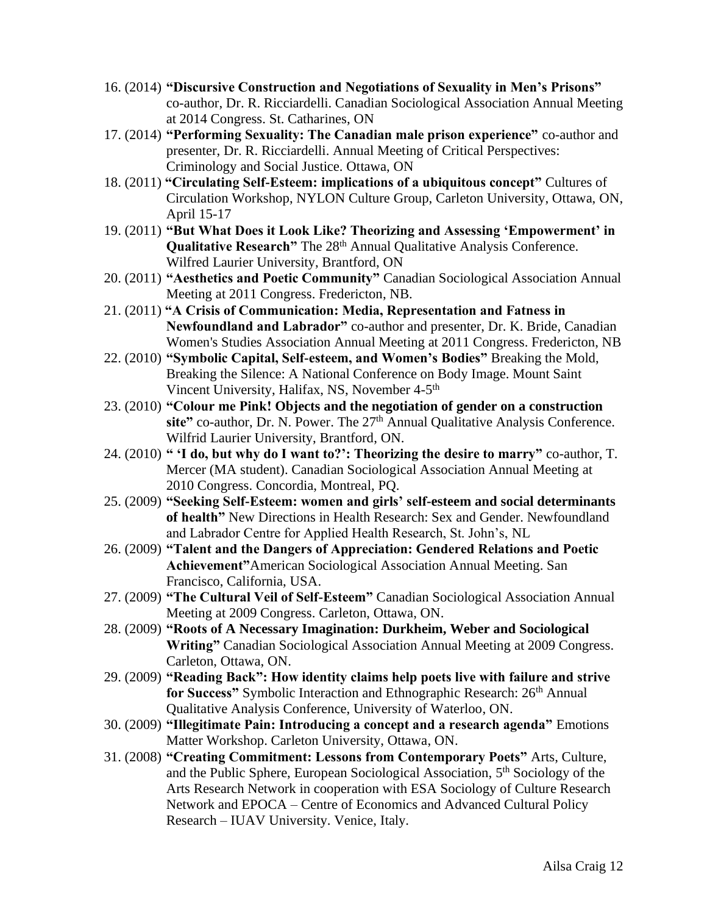- 16. (2014) **"Discursive Construction and Negotiations of Sexuality in Men's Prisons"** co-author, Dr. R. Ricciardelli. Canadian Sociological Association Annual Meeting at 2014 Congress. St. Catharines, ON
- 17. (2014) **"Performing Sexuality: The Canadian male prison experience"** co-author and presenter, Dr. R. Ricciardelli. Annual Meeting of Critical Perspectives: Criminology and Social Justice. Ottawa, ON
- 18. (2011) **"Circulating Self-Esteem: implications of a ubiquitous concept"** Cultures of Circulation Workshop, NYLON Culture Group, Carleton University, Ottawa, ON, April 15-17
- 19. (2011) **"But What Does it Look Like? Theorizing and Assessing 'Empowerment' in Qualitative Research"** The 28<sup>th</sup> Annual Qualitative Analysis Conference. Wilfred Laurier University, Brantford, ON
- 20. (2011) **"Aesthetics and Poetic Community"** Canadian Sociological Association Annual Meeting at 2011 Congress. Fredericton, NB.
- 21. (2011) **"A Crisis of Communication: Media, Representation and Fatness in Newfoundland and Labrador"** co-author and presenter, Dr. K. Bride, Canadian Women's Studies Association Annual Meeting at 2011 Congress. Fredericton, NB
- 22. (2010) **"Symbolic Capital, Self-esteem, and Women's Bodies"** Breaking the Mold, Breaking the Silence: A National Conference on Body Image. Mount Saint Vincent University, Halifax, NS, November 4-5<sup>th</sup>
- 23. (2010) **"Colour me Pink! Objects and the negotiation of gender on a construction**  site" co-author, Dr. N. Power. The 27<sup>th</sup> Annual Qualitative Analysis Conference. Wilfrid Laurier University, Brantford, ON.
- 24. (2010) **" 'I do, but why do I want to?': Theorizing the desire to marry"** co-author, T. Mercer (MA student). Canadian Sociological Association Annual Meeting at 2010 Congress. Concordia, Montreal, PQ.
- 25. (2009) **"Seeking Self-Esteem: women and girls' self-esteem and social determinants of health"** New Directions in Health Research: Sex and Gender. Newfoundland and Labrador Centre for Applied Health Research, St. John's, NL
- 26. (2009) **"Talent and the Dangers of Appreciation: Gendered Relations and Poetic Achievement"**American Sociological Association Annual Meeting. San Francisco, California, USA.
- 27. (2009) **"The Cultural Veil of Self-Esteem"** Canadian Sociological Association Annual Meeting at 2009 Congress. Carleton, Ottawa, ON.
- 28. (2009) **"Roots of A Necessary Imagination: Durkheim, Weber and Sociological Writing"** Canadian Sociological Association Annual Meeting at 2009 Congress. Carleton, Ottawa, ON.
- 29. (2009) **"Reading Back": How identity claims help poets live with failure and strive for Success"** Symbolic Interaction and Ethnographic Research:  $26<sup>th</sup>$  Annual Qualitative Analysis Conference, University of Waterloo, ON.
- 30. (2009) **"Illegitimate Pain: Introducing a concept and a research agenda"** Emotions Matter Workshop. Carleton University, Ottawa, ON.
- 31. (2008) **"Creating Commitment: Lessons from Contemporary Poets"** Arts, Culture, and the Public Sphere, European Sociological Association, 5<sup>th</sup> Sociology of the Arts Research Network in cooperation with ESA Sociology of Culture Research Network and EPOCA – Centre of Economics and Advanced Cultural Policy Research – IUAV University. Venice, Italy.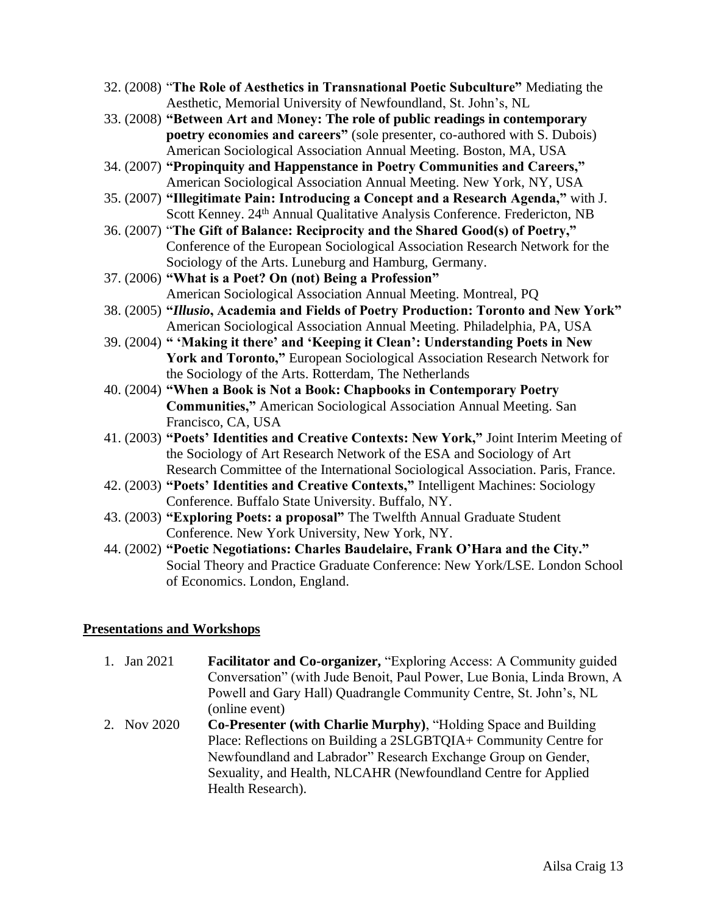- 32. (2008) "**The Role of Aesthetics in Transnational Poetic Subculture"** Mediating the Aesthetic, Memorial University of Newfoundland, St. John's, NL
- 33. (2008) **"Between Art and Money: The role of public readings in contemporary poetry economies and careers"** (sole presenter, co-authored with S. Dubois) American Sociological Association Annual Meeting. Boston, MA, USA
- 34. (2007) **"Propinquity and Happenstance in Poetry Communities and Careers,"** American Sociological Association Annual Meeting. New York, NY, USA
- 35. (2007) **"Illegitimate Pain: Introducing a Concept and a Research Agenda,"** with J. Scott Kenney. 24<sup>th</sup> Annual Qualitative Analysis Conference. Fredericton, NB
- 36. (2007) "**The Gift of Balance: Reciprocity and the Shared Good(s) of Poetry,"** Conference of the European Sociological Association Research Network for the Sociology of the Arts. Luneburg and Hamburg, Germany.
- 37. (2006) **"What is a Poet? On (not) Being a Profession"** American Sociological Association Annual Meeting. Montreal, PQ
- 38. (2005) **"***Illusio***, Academia and Fields of Poetry Production: Toronto and New York"** American Sociological Association Annual Meeting. Philadelphia, PA, USA
- 39. (2004) **" 'Making it there' and 'Keeping it Clean': Understanding Poets in New York and Toronto,"** European Sociological Association Research Network for the Sociology of the Arts. Rotterdam, The Netherlands
- 40. (2004) **"When a Book is Not a Book: Chapbooks in Contemporary Poetry Communities,"** American Sociological Association Annual Meeting. San Francisco, CA, USA
- 41. (2003) **"Poets' Identities and Creative Contexts: New York,"** Joint Interim Meeting of the Sociology of Art Research Network of the ESA and Sociology of Art Research Committee of the International Sociological Association. Paris, France.
- 42. (2003) **"Poets' Identities and Creative Contexts,"** Intelligent Machines: Sociology Conference. Buffalo State University. Buffalo, NY.
- 43. (2003) **"Exploring Poets: a proposal"** The Twelfth Annual Graduate Student Conference. New York University, New York, NY.
- 44. (2002) **"Poetic Negotiations: Charles Baudelaire, Frank O'Hara and the City."** Social Theory and Practice Graduate Conference: New York/LSE. London School of Economics. London, England.

## **Presentations and Workshops**

1. Jan 2021 **Facilitator and Co-organizer,** "Exploring Access: A Community guided Conversation" (with Jude Benoit, Paul Power, Lue Bonia, Linda Brown, A Powell and Gary Hall) Quadrangle Community Centre, St. John's, NL (online event) 2. Nov 2020 **Co-Presenter (with Charlie Murphy)**, "Holding Space and Building Place: Reflections on Building a 2SLGBTQIA+ Community Centre for Newfoundland and Labrador" Research Exchange Group on Gender,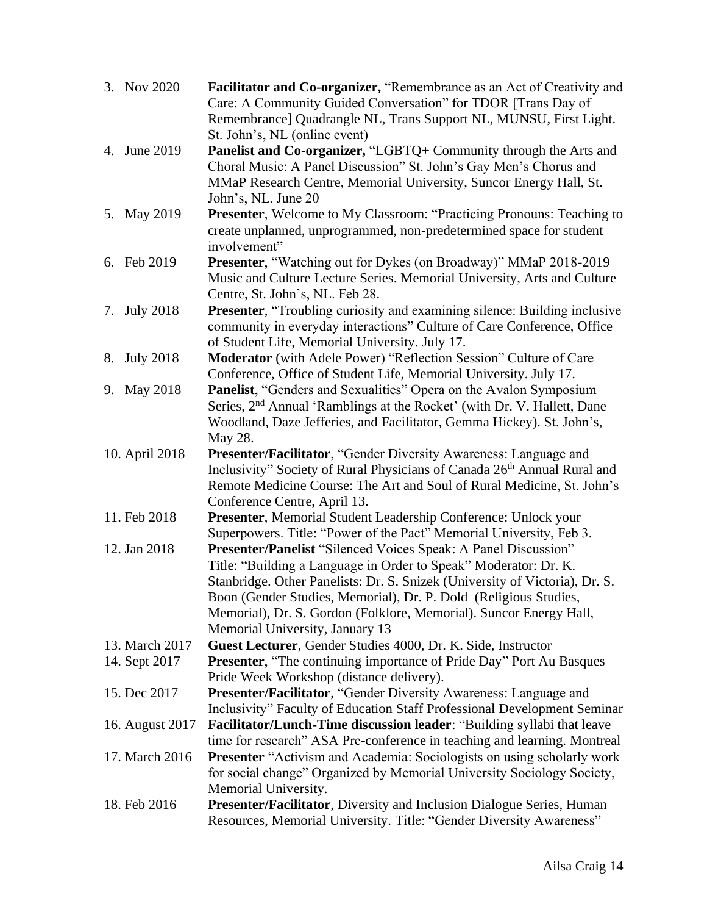| 3. Nov 2020     | Facilitator and Co-organizer, "Remembrance as an Act of Creativity and                                                                             |
|-----------------|----------------------------------------------------------------------------------------------------------------------------------------------------|
|                 | Care: A Community Guided Conversation" for TDOR [Trans Day of                                                                                      |
|                 | Remembrance] Quadrangle NL, Trans Support NL, MUNSU, First Light.                                                                                  |
|                 | St. John's, NL (online event)                                                                                                                      |
| 4. June 2019    | Panelist and Co-organizer, "LGBTQ+ Community through the Arts and                                                                                  |
|                 | Choral Music: A Panel Discussion" St. John's Gay Men's Chorus and                                                                                  |
|                 | MMaP Research Centre, Memorial University, Suncor Energy Hall, St.<br>John's, NL. June 20                                                          |
| 5. May 2019     | Presenter, Welcome to My Classroom: "Practicing Pronouns: Teaching to                                                                              |
|                 | create unplanned, unprogrammed, non-predetermined space for student                                                                                |
|                 | involvement"                                                                                                                                       |
| 6. Feb 2019     | Presenter, "Watching out for Dykes (on Broadway)" MMaP 2018-2019                                                                                   |
|                 | Music and Culture Lecture Series. Memorial University, Arts and Culture                                                                            |
|                 | Centre, St. John's, NL. Feb 28.                                                                                                                    |
| 7. July 2018    | Presenter, "Troubling curiosity and examining silence: Building inclusive                                                                          |
|                 | community in everyday interactions" Culture of Care Conference, Office                                                                             |
|                 | of Student Life, Memorial University. July 17.                                                                                                     |
| 8. July 2018    | Moderator (with Adele Power) "Reflection Session" Culture of Care                                                                                  |
|                 | Conference, Office of Student Life, Memorial University. July 17.                                                                                  |
| 9. May 2018     | Panelist, "Genders and Sexualities" Opera on the Avalon Symposium                                                                                  |
|                 | Series, 2 <sup>nd</sup> Annual 'Ramblings at the Rocket' (with Dr. V. Hallett, Dane                                                                |
|                 | Woodland, Daze Jefferies, and Facilitator, Gemma Hickey). St. John's,                                                                              |
|                 | May 28.                                                                                                                                            |
| 10. April 2018  | Presenter/Facilitator, "Gender Diversity Awareness: Language and<br>Inclusivity" Society of Rural Physicians of Canada 26th Annual Rural and       |
|                 | Remote Medicine Course: The Art and Soul of Rural Medicine, St. John's                                                                             |
|                 | Conference Centre, April 13.                                                                                                                       |
| 11. Feb 2018    | Presenter, Memorial Student Leadership Conference: Unlock your                                                                                     |
|                 | Superpowers. Title: "Power of the Pact" Memorial University, Feb 3.                                                                                |
| 12. Jan 2018    | Presenter/Panelist "Silenced Voices Speak: A Panel Discussion"                                                                                     |
|                 | Title: "Building a Language in Order to Speak" Moderator: Dr. K.                                                                                   |
|                 | Stanbridge. Other Panelists: Dr. S. Snizek (University of Victoria), Dr. S.                                                                        |
|                 | Boon (Gender Studies, Memorial), Dr. P. Dold (Religious Studies,                                                                                   |
|                 | Memorial), Dr. S. Gordon (Folklore, Memorial). Suncor Energy Hall,                                                                                 |
|                 | Memorial University, January 13                                                                                                                    |
| 13. March 2017  | Guest Lecturer, Gender Studies 4000, Dr. K. Side, Instructor                                                                                       |
| 14. Sept 2017   | <b>Presenter, "The continuing importance of Pride Day" Port Au Basques</b>                                                                         |
|                 | Pride Week Workshop (distance delivery).                                                                                                           |
| 15. Dec 2017    | Presenter/Facilitator, "Gender Diversity Awareness: Language and                                                                                   |
|                 | Inclusivity" Faculty of Education Staff Professional Development Seminar                                                                           |
| 16. August 2017 | Facilitator/Lunch-Time discussion leader: "Building syllabi that leave<br>time for research" ASA Pre-conference in teaching and learning. Montreal |
| 17. March 2016  | <b>Presenter</b> "Activism and Academia: Sociologists on using scholarly work                                                                      |
|                 | for social change" Organized by Memorial University Sociology Society,                                                                             |
|                 | Memorial University.                                                                                                                               |
| 18. Feb 2016    | Presenter/Facilitator, Diversity and Inclusion Dialogue Series, Human                                                                              |
|                 | Resources, Memorial University. Title: "Gender Diversity Awareness"                                                                                |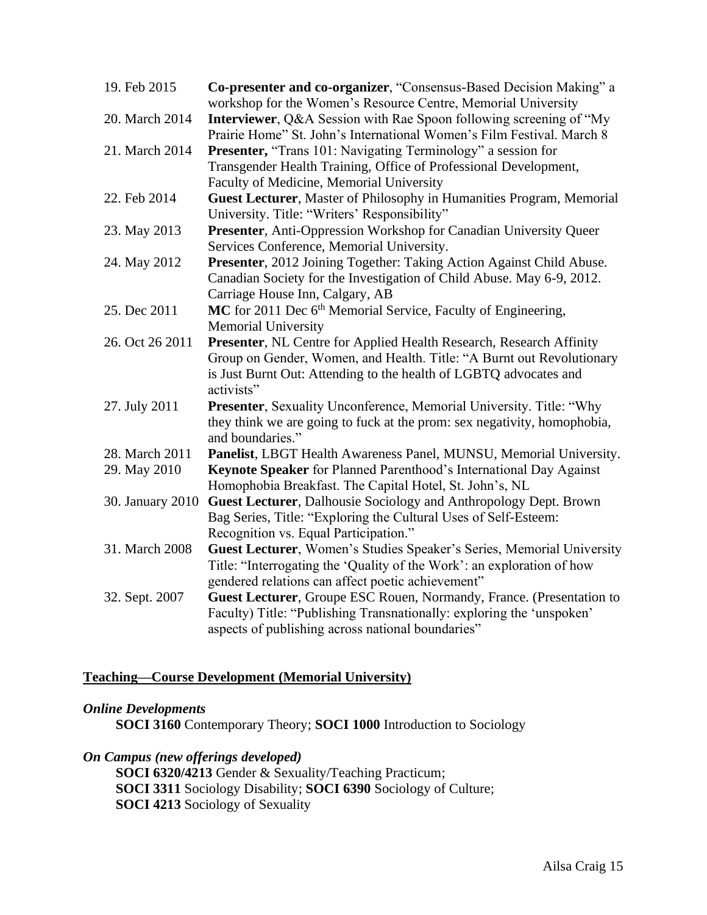| 19. Feb 2015     | Co-presenter and co-organizer, "Consensus-Based Decision Making" a<br>workshop for the Women's Resource Centre, Memorial University                                                                                             |
|------------------|---------------------------------------------------------------------------------------------------------------------------------------------------------------------------------------------------------------------------------|
| 20. March 2014   | <b>Interviewer</b> , Q&A Session with Rae Spoon following screening of "My<br>Prairie Home" St. John's International Women's Film Festival. March 8                                                                             |
| 21. March 2014   | Presenter, "Trans 101: Navigating Terminology" a session for<br>Transgender Health Training, Office of Professional Development,                                                                                                |
|                  | Faculty of Medicine, Memorial University                                                                                                                                                                                        |
| 22. Feb 2014     | Guest Lecturer, Master of Philosophy in Humanities Program, Memorial<br>University. Title: "Writers' Responsibility"                                                                                                            |
| 23. May 2013     | Presenter, Anti-Oppression Workshop for Canadian University Queer<br>Services Conference, Memorial University.                                                                                                                  |
| 24. May 2012     | Presenter, 2012 Joining Together: Taking Action Against Child Abuse.<br>Canadian Society for the Investigation of Child Abuse. May 6-9, 2012.<br>Carriage House Inn, Calgary, AB                                                |
| 25. Dec 2011     | MC for 2011 Dec 6 <sup>th</sup> Memorial Service, Faculty of Engineering,<br><b>Memorial University</b>                                                                                                                         |
| 26. Oct 26 2011  | Presenter, NL Centre for Applied Health Research, Research Affinity<br>Group on Gender, Women, and Health. Title: "A Burnt out Revolutionary<br>is Just Burnt Out: Attending to the health of LGBTQ advocates and<br>activists" |
| 27. July 2011    | Presenter, Sexuality Unconference, Memorial University. Title: "Why<br>they think we are going to fuck at the prom: sex negativity, homophobia,<br>and boundaries."                                                             |
| 28. March 2011   | Panelist, LBGT Health Awareness Panel, MUNSU, Memorial University.                                                                                                                                                              |
| 29. May 2010     | Keynote Speaker for Planned Parenthood's International Day Against                                                                                                                                                              |
|                  | Homophobia Breakfast. The Capital Hotel, St. John's, NL                                                                                                                                                                         |
| 30. January 2010 | Guest Lecturer, Dalhousie Sociology and Anthropology Dept. Brown<br>Bag Series, Title: "Exploring the Cultural Uses of Self-Esteem:                                                                                             |
|                  | Recognition vs. Equal Participation."                                                                                                                                                                                           |
| 31. March 2008   | Guest Lecturer, Women's Studies Speaker's Series, Memorial University                                                                                                                                                           |
|                  | Title: "Interrogating the 'Quality of the Work': an exploration of how                                                                                                                                                          |
|                  | gendered relations can affect poetic achievement"                                                                                                                                                                               |
| 32. Sept. 2007   | Guest Lecturer, Groupe ESC Rouen, Normandy, France. (Presentation to                                                                                                                                                            |
|                  | Faculty) Title: "Publishing Transnationally: exploring the 'unspoken'                                                                                                                                                           |
|                  | aspects of publishing across national boundaries"                                                                                                                                                                               |

## **Teaching—Course Development (Memorial University)**

## *Online Developments*

**SOCI 3160** Contemporary Theory; **SOCI 1000** Introduction to Sociology

## *On Campus (new offerings developed)*

**SOCI 6320/4213** Gender & Sexuality/Teaching Practicum; **SOCI 3311** Sociology Disability; **SOCI 6390** Sociology of Culture; **SOCI 4213** Sociology of Sexuality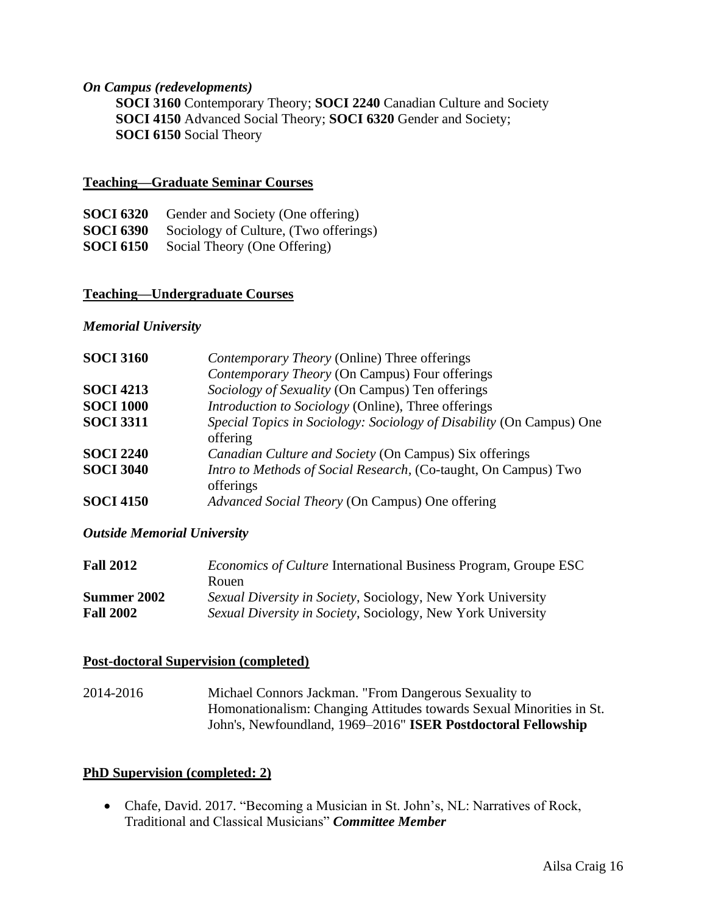#### *On Campus (redevelopments)*

**SOCI 3160** Contemporary Theory; **SOCI 2240** Canadian Culture and Society **SOCI 4150** Advanced Social Theory; **SOCI 6320** Gender and Society; **SOCI 6150** Social Theory

#### **Teaching—Graduate Seminar Courses**

| <b>SOCI 6320</b> | Gender and Society (One offering)     |
|------------------|---------------------------------------|
| <b>SOCI 6390</b> | Sociology of Culture, (Two offerings) |
| <b>SOCI 6150</b> | Social Theory (One Offering)          |

#### **Teaching—Undergraduate Courses**

#### *Memorial University*

| <b>SOCI 3160</b> | Contemporary Theory (Online) Three offerings                         |
|------------------|----------------------------------------------------------------------|
|                  | Contemporary Theory (On Campus) Four offerings                       |
| <b>SOCI 4213</b> | Sociology of Sexuality (On Campus) Ten offerings                     |
| <b>SOCI 1000</b> | <i>Introduction to Sociology</i> (Online), Three offerings           |
| <b>SOCI 3311</b> | Special Topics in Sociology: Sociology of Disability (On Campus) One |
|                  | offering                                                             |
| <b>SOCI 2240</b> | Canadian Culture and Society (On Campus) Six offerings               |
| <b>SOCI 3040</b> | Intro to Methods of Social Research, (Co-taught, On Campus) Two      |
|                  | offerings                                                            |
| <b>SOCI 4150</b> | Advanced Social Theory (On Campus) One offering                      |

#### *Outside Memorial University*

| <b>Fall 2012</b>   | <i>Economics of Culture</i> International Business Program, Groupe ESC |
|--------------------|------------------------------------------------------------------------|
|                    | Rouen.                                                                 |
| <b>Summer 2002</b> | Sexual Diversity in Society, Sociology, New York University            |
| <b>Fall 2002</b>   | Sexual Diversity in Society, Sociology, New York University            |

#### **Post-doctoral Supervision (completed)**

2014-2016 Michael Connors Jackman. "From Dangerous Sexuality to Homonationalism: Changing Attitudes towards Sexual Minorities in St. John's, Newfoundland, 1969–2016" **ISER Postdoctoral Fellowship**

#### **PhD Supervision (completed: 2)**

• Chafe, David. 2017. "Becoming a Musician in St. John's, NL: Narratives of Rock, Traditional and Classical Musicians" *Committee Member*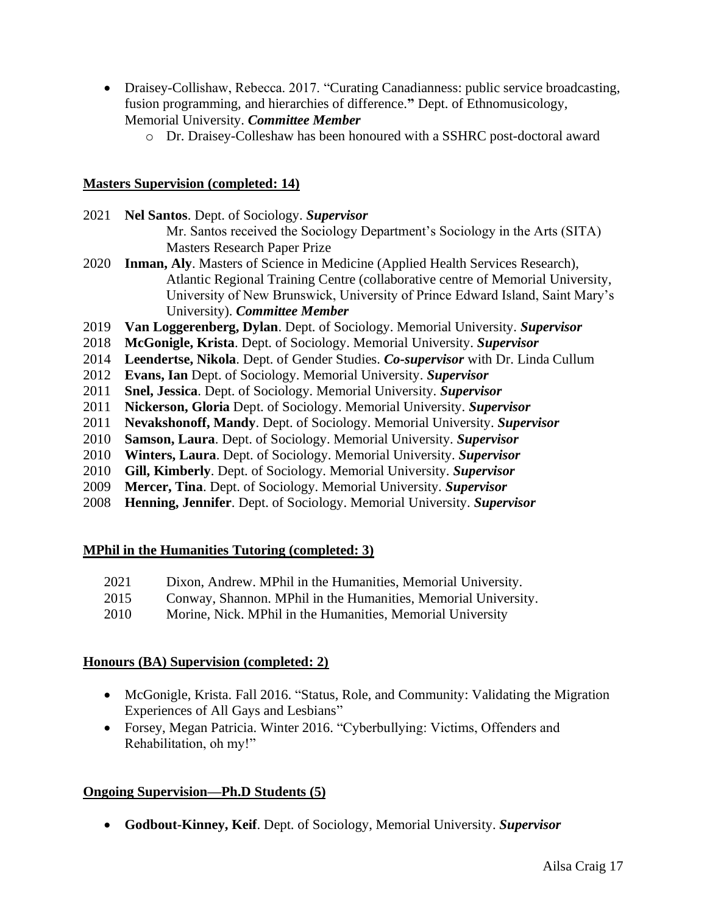- Draisey-Collishaw, Rebecca. 2017. "Curating Canadianness: public service broadcasting, fusion programming, and hierarchies of difference.**"** Dept. of Ethnomusicology, Memorial University. *Committee Member*
	- o Dr. Draisey-Colleshaw has been honoured with a SSHRC post-doctoral award

## **Masters Supervision (completed: 14)**

- 2021 **Nel Santos**. Dept. of Sociology. *Supervisor* Mr. Santos received the Sociology Department's Sociology in the Arts (SITA) Masters Research Paper Prize
- 2020 **Inman, Aly**. Masters of Science in Medicine (Applied Health Services Research), Atlantic Regional Training Centre (collaborative centre of Memorial University, University of New Brunswick, University of Prince Edward Island, Saint Mary's University). *Committee Member*
- 2019 **Van Loggerenberg, Dylan**. Dept. of Sociology. Memorial University. *Supervisor*
- 2018 **McGonigle, Krista**. Dept. of Sociology. Memorial University. *Supervisor*
- 2014 **Leendertse, Nikola**. Dept. of Gender Studies. *Co-supervisor* with Dr. Linda Cullum
- 2012 **Evans, Ian** Dept. of Sociology. Memorial University. *Supervisor*
- 2011 **Snel, Jessica**. Dept. of Sociology. Memorial University. *Supervisor*
- 2011 **Nickerson, Gloria** Dept. of Sociology. Memorial University. *Supervisor*
- 2011 **Nevakshonoff, Mandy**. Dept. of Sociology. Memorial University. *Supervisor*
- 2010 **Samson, Laura**. Dept. of Sociology. Memorial University. *Supervisor*
- 2010 **Winters, Laura**. Dept. of Sociology. Memorial University. *Supervisor*
- 2010 **Gill, Kimberly**. Dept. of Sociology. Memorial University. *Supervisor*
- 2009 **Mercer, Tina**. Dept. of Sociology. Memorial University. *Supervisor*
- 2008 **Henning, Jennifer**. Dept. of Sociology. Memorial University. *Supervisor*

#### **MPhil in the Humanities Tutoring (completed: 3)**

- 2021 Dixon, Andrew. MPhil in the Humanities, Memorial University.
- 2015 Conway, Shannon. MPhil in the Humanities, Memorial University.
- 2010 Morine, Nick. MPhil in the Humanities, Memorial University

## **Honours (BA) Supervision (completed: 2)**

- McGonigle, Krista. Fall 2016. "Status, Role, and Community: Validating the Migration Experiences of All Gays and Lesbians"
- Forsey, Megan Patricia. Winter 2016. "Cyberbullying: Victims, Offenders and Rehabilitation, oh my!"

## **Ongoing Supervision—Ph.D Students (5)**

• **Godbout-Kinney, Keif**. Dept. of Sociology, Memorial University. *Supervisor*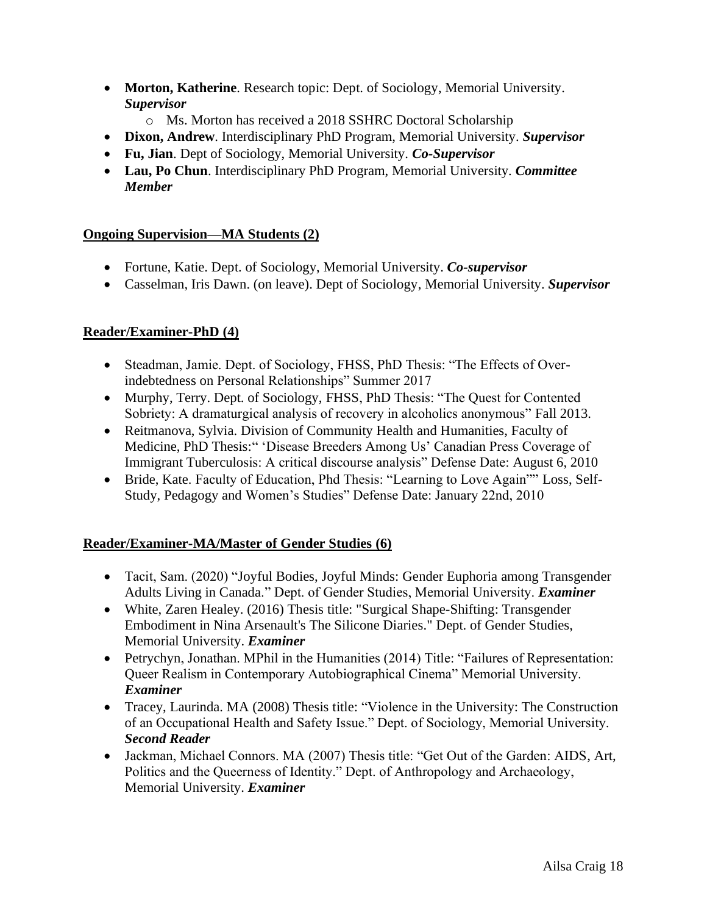- **Morton, Katherine**. Research topic: Dept. of Sociology, Memorial University. *Supervisor*
	- o Ms. Morton has received a 2018 SSHRC Doctoral Scholarship
- **Dixon, Andrew**. Interdisciplinary PhD Program, Memorial University. *Supervisor*
- **Fu, Jian**. Dept of Sociology, Memorial University. *Co-Supervisor*
- **Lau, Po Chun**. Interdisciplinary PhD Program, Memorial University. *Committee Member*

## **Ongoing Supervision—MA Students (2)**

- Fortune, Katie. Dept. of Sociology, Memorial University. *Co-supervisor*
- Casselman, Iris Dawn. (on leave). Dept of Sociology, Memorial University. *Supervisor*

## **Reader/Examiner-PhD (4)**

- Steadman, Jamie. Dept. of Sociology, FHSS, PhD Thesis: "The Effects of Overindebtedness on Personal Relationships" Summer 2017
- Murphy, Terry. Dept. of Sociology, FHSS, PhD Thesis: "The Quest for Contented Sobriety: A dramaturgical analysis of recovery in alcoholics anonymous" Fall 2013.
- Reitmanova, Sylvia. Division of Community Health and Humanities, Faculty of Medicine, PhD Thesis:" 'Disease Breeders Among Us' Canadian Press Coverage of Immigrant Tuberculosis: A critical discourse analysis" Defense Date: August 6, 2010
- Bride, Kate. Faculty of Education, Phd Thesis: "Learning to Love Again"" Loss, Self-Study, Pedagogy and Women's Studies" Defense Date: January 22nd, 2010

#### **Reader/Examiner-MA/Master of Gender Studies (6)**

- Tacit, Sam. (2020) "Joyful Bodies, Joyful Minds: Gender Euphoria among Transgender Adults Living in Canada." Dept. of Gender Studies, Memorial University. *Examiner*
- White, Zaren Healey. (2016) Thesis title: "Surgical Shape-Shifting: Transgender Embodiment in Nina Arsenault's The Silicone Diaries." Dept. of Gender Studies, Memorial University. *Examiner*
- Petrychyn, Jonathan. MPhil in the Humanities (2014) Title: "Failures of Representation: Queer Realism in Contemporary Autobiographical Cinema" Memorial University. *Examiner*
- Tracey, Laurinda. MA (2008) Thesis title: "Violence in the University: The Construction of an Occupational Health and Safety Issue." Dept. of Sociology, Memorial University. *Second Reader*
- Jackman, Michael Connors. MA (2007) Thesis title: "Get Out of the Garden: AIDS, Art, Politics and the Queerness of Identity." Dept. of Anthropology and Archaeology, Memorial University. *Examiner*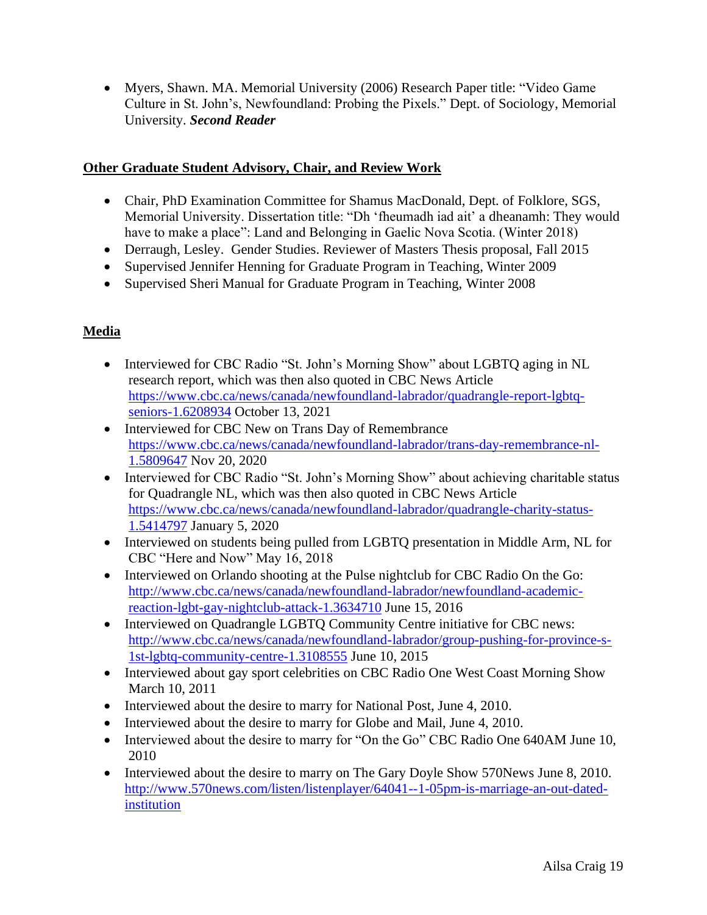• Myers, Shawn. MA. Memorial University (2006) Research Paper title: "Video Game Culture in St. John's, Newfoundland: Probing the Pixels." Dept. of Sociology, Memorial University. *Second Reader*

## **Other Graduate Student Advisory, Chair, and Review Work**

- Chair, PhD Examination Committee for Shamus MacDonald, Dept. of Folklore, SGS, Memorial University. Dissertation title: "Dh 'fheumadh iad ait' a dheanamh: They would have to make a place": Land and Belonging in Gaelic Nova Scotia. (Winter 2018)
- Derraugh, Lesley. Gender Studies. Reviewer of Masters Thesis proposal, Fall 2015
- Supervised Jennifer Henning for Graduate Program in Teaching, Winter 2009
- Supervised Sheri Manual for Graduate Program in Teaching, Winter 2008

## **Media**

- Interviewed for CBC Radio "St. John's Morning Show" about LGBTO aging in NL research report, which was then also quoted in CBC News Article [https://www.cbc.ca/news/canada/newfoundland-labrador/quadrangle-report-lgbtq](https://www.cbc.ca/news/canada/newfoundland-labrador/quadrangle-report-lgbtq-seniors-1.6208934)[seniors-1.6208934](https://www.cbc.ca/news/canada/newfoundland-labrador/quadrangle-report-lgbtq-seniors-1.6208934) October 13, 2021
- Interviewed for CBC New on Trans Day of Remembrance [https://www.cbc.ca/news/canada/newfoundland-labrador/trans-day-remembrance-nl-](https://www.cbc.ca/news/canada/newfoundland-labrador/trans-day-remembrance-nl-1.5809647)[1.5809647](https://www.cbc.ca/news/canada/newfoundland-labrador/trans-day-remembrance-nl-1.5809647) Nov 20, 2020
- Interviewed for CBC Radio "St. John's Morning Show" about achieving charitable status for Quadrangle NL, which was then also quoted in CBC News Article [https://www.cbc.ca/news/canada/newfoundland-labrador/quadrangle-charity-status-](https://www.cbc.ca/news/canada/newfoundland-labrador/quadrangle-charity-status-1.5414797)[1.5414797](https://www.cbc.ca/news/canada/newfoundland-labrador/quadrangle-charity-status-1.5414797) January 5, 2020
- Interviewed on students being pulled from LGBTQ presentation in Middle Arm, NL for CBC "Here and Now" May 16, 2018
- Interviewed on Orlando shooting at the Pulse nightclub for CBC Radio On the Go: [http://www.cbc.ca/news/canada/newfoundland-labrador/newfoundland-academic](http://www.cbc.ca/news/canada/newfoundland-labrador/newfoundland-academic-reaction-lgbt-gay-nightclub-attack-1.3634710)[reaction-lgbt-gay-nightclub-attack-1.3634710](http://www.cbc.ca/news/canada/newfoundland-labrador/newfoundland-academic-reaction-lgbt-gay-nightclub-attack-1.3634710) June 15, 2016
- Interviewed on Quadrangle LGBTQ Community Centre initiative for CBC news: [http://www.cbc.ca/news/canada/newfoundland-labrador/group-pushing-for-province-s-](http://www.cbc.ca/news/canada/newfoundland-labrador/group-pushing-for-province-s-1st-lgbtq-community-centre-1.3108555)[1st-lgbtq-community-centre-1.3108555](http://www.cbc.ca/news/canada/newfoundland-labrador/group-pushing-for-province-s-1st-lgbtq-community-centre-1.3108555) June 10, 2015
- Interviewed about gay sport celebrities on CBC Radio One West Coast Morning Show March 10, 2011
- Interviewed about the desire to marry for National Post, June 4, 2010.
- Interviewed about the desire to marry for Globe and Mail, June 4, 2010.
- Interviewed about the desire to marry for "On the Go" CBC Radio One 640AM June 10, 2010
- Interviewed about the desire to marry on The Gary Doyle Show 570News June 8, 2010. [http://www.570news.com/listen/listenplayer/64041--1-05pm-is-marriage-an-out-dated](http://www.570news.com/listen/listenplayer/64041--1-05pm-is-marriage-an-out-dated-institution)[institution](http://www.570news.com/listen/listenplayer/64041--1-05pm-is-marriage-an-out-dated-institution)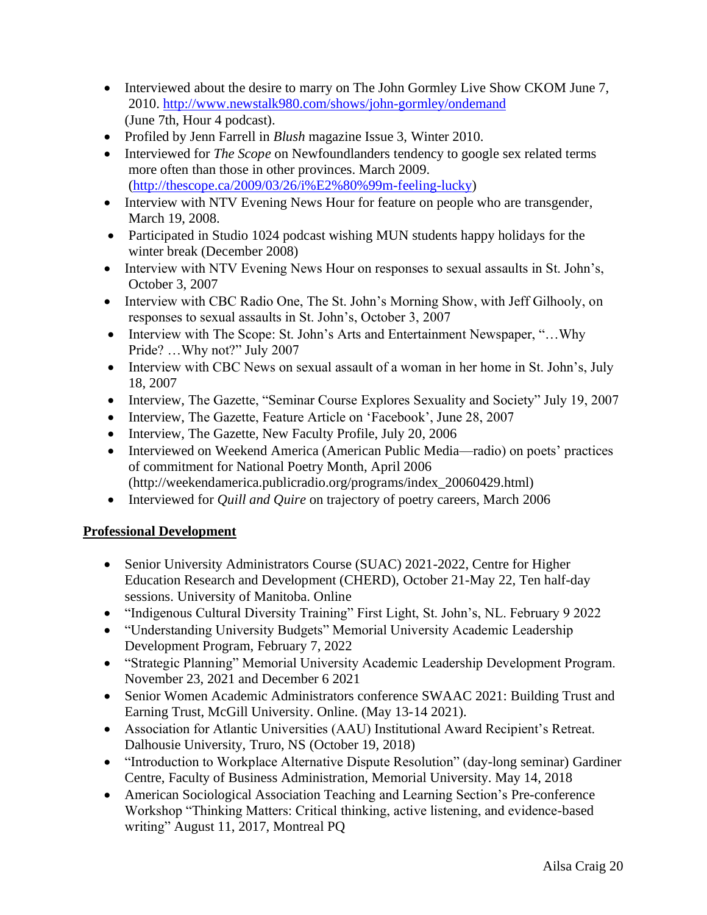- Interviewed about the desire to marry on The John Gormley Live Show CKOM June 7, 2010.<http://www.newstalk980.com/shows/john-gormley/ondemand> (June 7th, Hour 4 podcast).
- Profiled by Jenn Farrell in *Blush* magazine Issue 3, Winter 2010.
- Interviewed for *The Scope* on Newfoundlanders tendency to google sex related terms more often than those in other provinces. March 2009. [\(http://thescope.ca/2009/03/26/i%E2%80%99m-feeling-lucky\)](http://thescope.ca/2009/03/26/i%E2%80%99m-feeling-lucky)
- Interview with NTV Evening News Hour for feature on people who are transgender, March 19, 2008.
- Participated in Studio 1024 podcast wishing MUN students happy holidays for the winter break (December 2008)
- Interview with NTV Evening News Hour on responses to sexual assaults in St. John's, October 3, 2007
- Interview with CBC Radio One, The St. John's Morning Show, with Jeff Gilhooly, on responses to sexual assaults in St. John's, October 3, 2007
- Interview with The Scope: St. John's Arts and Entertainment Newspaper, "...Why Pride? …Why not?" July 2007
- Interview with CBC News on sexual assault of a woman in her home in St. John's, July 18, 2007
- Interview, The Gazette, "Seminar Course Explores Sexuality and Society" July 19, 2007
- Interview, The Gazette, Feature Article on 'Facebook', June 28, 2007
- Interview, The Gazette, New Faculty Profile, July 20, 2006
- Interviewed on Weekend America (American Public Media—radio) on poets' practices of commitment for National Poetry Month, April 2006 (http://weekendamerica.publicradio.org/programs/index\_20060429.html)
- Interviewed for *Quill and Quire* on trajectory of poetry careers, March 2006

## **Professional Development**

- Senior University Administrators Course (SUAC) 2021-2022, Centre for Higher Education Research and Development (CHERD), October 21-May 22, Ten half-day sessions. University of Manitoba. Online
- "Indigenous Cultural Diversity Training" First Light, St. John's, NL. February 9 2022
- "Understanding University Budgets" Memorial University Academic Leadership Development Program, February 7, 2022
- "Strategic Planning" Memorial University Academic Leadership Development Program. November 23, 2021 and December 6 2021
- Senior Women Academic Administrators conference SWAAC 2021: Building Trust and Earning Trust, McGill University. Online. (May 13-14 2021).
- Association for Atlantic Universities (AAU) Institutional Award Recipient's Retreat. Dalhousie University, Truro, NS (October 19, 2018)
- "Introduction to Workplace Alternative Dispute Resolution" (day-long seminar) Gardiner Centre, Faculty of Business Administration, Memorial University. May 14, 2018
- American Sociological Association Teaching and Learning Section's Pre-conference Workshop "Thinking Matters: Critical thinking, active listening, and evidence-based writing" August 11, 2017, Montreal PQ